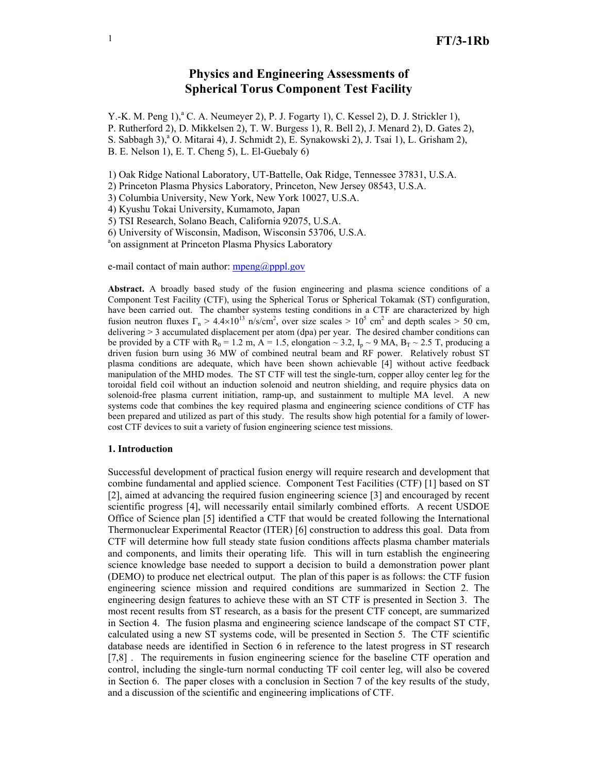# **Physics and Engineering Assessments of Spherical Torus Component Test Facility**

Y.-K. M. Peng 1),<sup>a</sup> C. A. Neumeyer 2), P. J. Fogarty 1), C. Kessel 2), D. J. Strickler 1), P. Rutherford 2), D. Mikkelsen 2), T. W. Burgess 1), R. Bell 2), J. Menard 2), D. Gates 2), S. Sabbagh 3),<sup>a</sup> O. Mitarai 4), J. Schmidt 2), E. Synakowski 2), J. Tsai 1), L. Grisham 2), B. E. Nelson 1), E. T. Cheng 5), L. El-Guebaly 6)

1) Oak Ridge National Laboratory, UT-Battelle, Oak Ridge, Tennessee 37831, U.S.A.

2) Princeton Plasma Physics Laboratory, Princeton, New Jersey 08543, U.S.A.

3) Columbia University, New York, New York 10027, U.S.A.

4) Kyushu Tokai University, Kumamoto, Japan

5) TSI Research, Solano Beach, California 92075, U.S.A.

6) University of Wisconsin, Madison, Wisconsin 53706, U.S.A.

<sup>a</sup>on assignment at Princeton Plasma Physics Laboratory

e-mail contact of main author:  $mpeng(\partial_pppp)$ .gov

**Abstract.** A broadly based study of the fusion engineering and plasma science conditions of a Component Test Facility (CTF), using the Spherical Torus or Spherical Tokamak (ST) configuration, have been carried out. The chamber systems testing conditions in a CTF are characterized by high fusion neutron fluxes  $\Gamma_n > 4.4 \times 10^{13}$  n/s/cm<sup>2</sup>, over size scales >  $10^5$  cm<sup>2</sup> and depth scales > 50 cm, delivering > 3 accumulated displacement per atom (dpa) per year. The desired chamber conditions can be provided by a CTF with  $R_0 = 1.2$  m, A = 1.5, elongation  $\sim$  3.2, I<sub>n</sub>  $\sim$  9 MA, B<sub>T</sub>  $\sim$  2.5 T, producing a driven fusion burn using 36 MW of combined neutral beam and RF power. Relatively robust ST plasma conditions are adequate, which have been shown achievable [4] without active feedback manipulation of the MHD modes. The ST CTF will test the single-turn, copper alloy center leg for the toroidal field coil without an induction solenoid and neutron shielding, and require physics data on solenoid-free plasma current initiation, ramp-up, and sustainment to multiple MA level. A new systems code that combines the key required plasma and engineering science conditions of CTF has been prepared and utilized as part of this study. The results show high potential for a family of lowercost CTF devices to suit a variety of fusion engineering science test missions.

#### **1. Introduction**

Successful development of practical fusion energy will require research and development that combine fundamental and applied science. Component Test Facilities (CTF) [1] based on ST [2], aimed at advancing the required fusion engineering science [3] and encouraged by recent scientific progress [4], will necessarily entail similarly combined efforts. A recent USDOE Office of Science plan [5] identified a CTF that would be created following the International Thermonuclear Experimental Reactor (ITER) [6] construction to address this goal. Data from CTF will determine how full steady state fusion conditions affects plasma chamber materials and components, and limits their operating life. This will in turn establish the engineering science knowledge base needed to support a decision to build a demonstration power plant (DEMO) to produce net electrical output. The plan of this paper is as follows: the CTF fusion engineering science mission and required conditions are summarized in Section 2. The engineering design features to achieve these with an ST CTF is presented in Section 3. The most recent results from ST research, as a basis for the present CTF concept, are summarized in Section 4. The fusion plasma and engineering science landscape of the compact ST CTF, calculated using a new ST systems code, will be presented in Section 5. The CTF scientific database needs are identified in Section 6 in reference to the latest progress in ST research [7,8] . The requirements in fusion engineering science for the baseline CTF operation and control, including the single-turn normal conducting TF coil center leg, will also be covered in Section 6. The paper closes with a conclusion in Section 7 of the key results of the study, and a discussion of the scientific and engineering implications of CTF.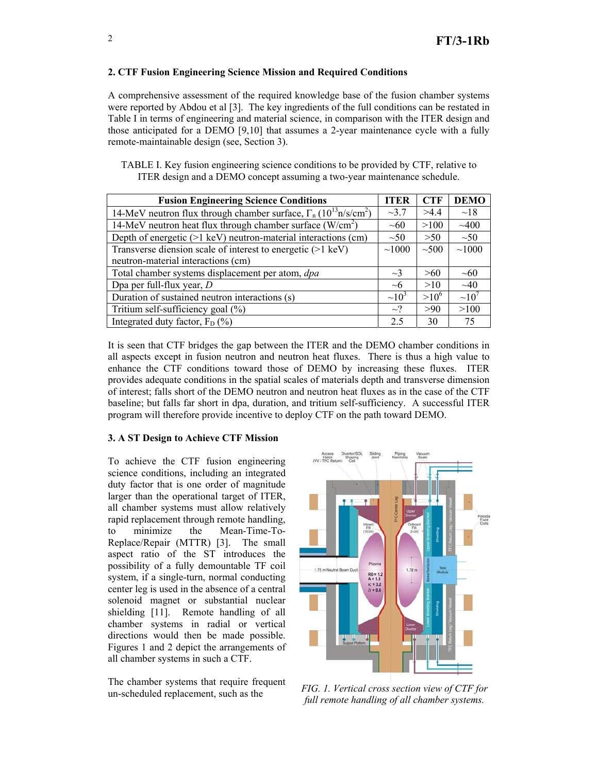## **2. CTF Fusion Engineering Science Mission and Required Conditions**

A comprehensive assessment of the required knowledge base of the fusion chamber systems were reported by Abdou et al [3]. The key ingredients of the full conditions can be restated in Table I in terms of engineering and material science, in comparison with the ITER design and those anticipated for a DEMO [9,10] that assumes a 2-year maintenance cycle with a fully remote-maintainable design (see, Section 3).

TABLE I. Key fusion engineering science conditions to be provided by CTF, relative to ITER design and a DEMO concept assuming a two-year maintenance schedule.

| <b>Fusion Engineering Science Conditions</b>                               | <b>ITER</b> | <b>CTF</b> | <b>DEMO</b> |
|----------------------------------------------------------------------------|-------------|------------|-------------|
| 14-MeV neutron flux through chamber surface, $\Gamma_n (10^{13} n/s/cm^2)$ | $-3.7$      | >4.4       | $\sim$ 18   |
| 14-MeV neutron heat flux through chamber surface $(W/cm2)$                 | $\sim 60$   | >100       | $-400$      |
| Depth of energetic (>1 keV) neutron-material interactions (cm)             | $\sim 50$   | >50        | $\sim 50$   |
| Transverse diension scale of interest to energetic $(>1 \text{ keV})$      | ~1000       | $\sim 500$ | ~1000       |
| neutron-material interactions (cm)                                         |             |            |             |
| Total chamber systems displacement per atom, dpa                           | $\sim$ 3    | >60        | $\sim 60$   |
| Dpa per full-flux year, $D$                                                | $\sim$ 6    | >10        | $\sim 40$   |
| Duration of sustained neutron interactions (s)                             | $\sim 10^3$ | $>10^6$    | $\sim 10'$  |
| Tritium self-sufficiency goal (%)                                          | $\sim$ ?    | >90        | >100        |
| Integrated duty factor, $F_D$ (%)                                          | 2.5         | 30         | 75          |

It is seen that CTF bridges the gap between the ITER and the DEMO chamber conditions in all aspects except in fusion neutron and neutron heat fluxes. There is thus a high value to enhance the CTF conditions toward those of DEMO by increasing these fluxes. ITER provides adequate conditions in the spatial scales of materials depth and transverse dimension of interest; falls short of the DEMO neutron and neutron heat fluxes as in the case of the CTF baseline; but falls far short in dpa, duration, and tritium self-sufficiency. A successful ITER program will therefore provide incentive to deploy CTF on the path toward DEMO.

# **3. A ST Design to Achieve CTF Mission**

To achieve the CTF fusion engineering science conditions, including an integrated duty factor that is one order of magnitude larger than the operational target of ITER, all chamber systems must allow relatively rapid replacement through remote handling, to minimize the Mean-Time-To-Replace/Repair (MTTR) [3]. The small aspect ratio of the ST introduces the possibility of a fully demountable TF coil system, if a single-turn, normal conducting center leg is used in the absence of a central solenoid magnet or substantial nuclear shielding [11]. Remote handling of all chamber systems in radial or vertical directions would then be made possible. Figures 1 and 2 depict the arrangements of all chamber systems in such a CTF.

The chamber systems that require frequent un-scheduled replacement, such as the *FIG. 1. Vertical cross section view of CTF for* 



*full remote handling of all chamber systems.*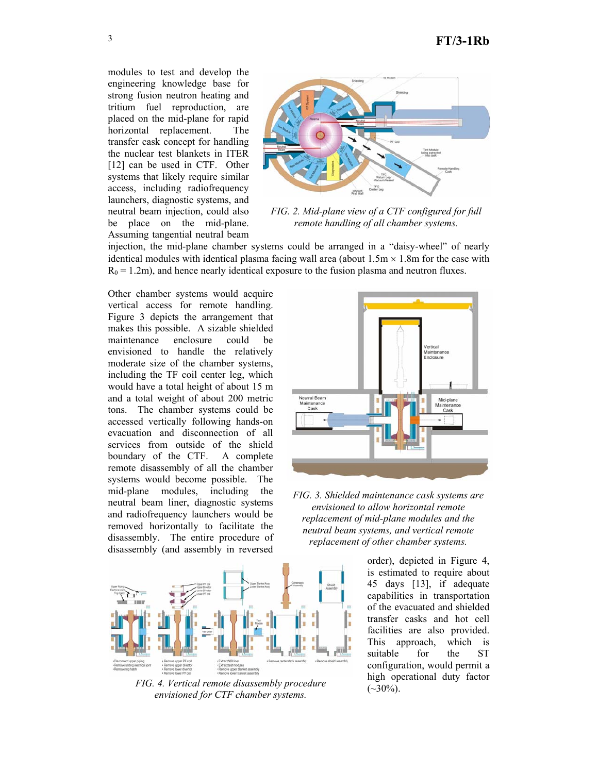modules to test and develop the engineering knowledge base for strong fusion neutron heating and tritium fuel reproduction, are placed on the mid-plane for rapid horizontal replacement. The transfer cask concept for handling the nuclear test blankets in ITER [12] can be used in CTF. Other systems that likely require similar access, including radiofrequency launchers, diagnostic systems, and neutral beam injection, could also be place on the mid-plane. Assuming tangential neutral beam



*FIG. 2. Mid-plane view of a CTF configured for full remote handling of all chamber systems.* 

injection, the mid-plane chamber systems could be arranged in a "daisy-wheel" of nearly identical modules with identical plasma facing wall area (about  $1.5m \times 1.8m$  for the case with  $R_0 = 1.2$ m), and hence nearly identical exposure to the fusion plasma and neutron fluxes.

Other chamber systems would acquire vertical access for remote handling. Figure 3 depicts the arrangement that makes this possible. A sizable shielded maintenance enclosure could be envisioned to handle the relatively moderate size of the chamber systems, including the TF coil center leg, which would have a total height of about 15 m and a total weight of about 200 metric tons. The chamber systems could be accessed vertically following hands-on evacuation and disconnection of all services from outside of the shield boundary of the CTF. A complete remote disassembly of all the chamber systems would become possible. The mid-plane modules, including the neutral beam liner, diagnostic systems and radiofrequency launchers would be removed horizontally to facilitate the disassembly. The entire procedure of disassembly (and assembly in reversed



*FIG. 3. Shielded maintenance cask systems are envisioned to allow horizontal remote replacement of mid-plane modules and the neutral beam systems, and vertical remote replacement of other chamber systems.* 



*FIG. 4. Vertical remote disassembly procedure envisioned for CTF chamber systems.* 

order), depicted in Figure 4, is estimated to require about 45 days [13], if adequate capabilities in transportation of the evacuated and shielded transfer casks and hot cell facilities are also provided. This approach, which is suitable for the ST configuration, would permit a high operational duty factor  $(-30\%)$ .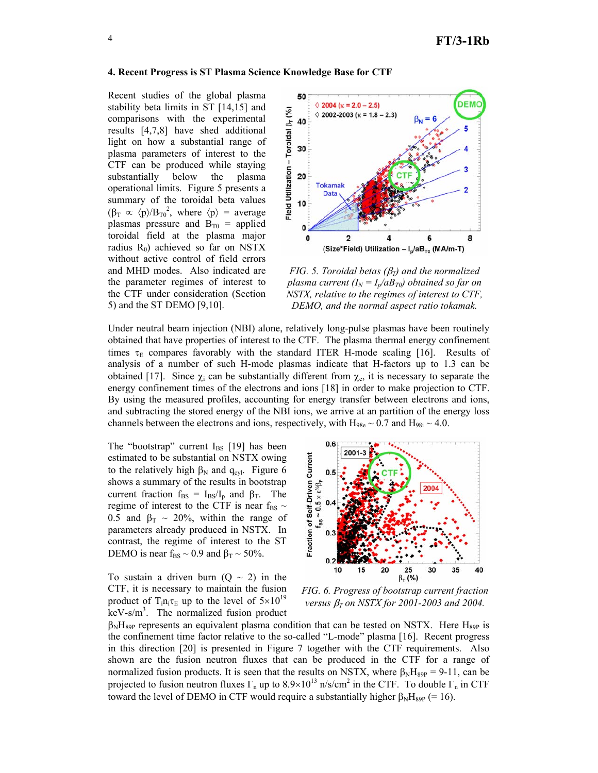### **4. Recent Progress is ST Plasma Science Knowledge Base for CTF**

Recent studies of the global plasma stability beta limits in ST [14,15] and comparisons with the experimental results [4,7,8] have shed additional light on how a substantial range of plasma parameters of interest to the CTF can be produced while staying substantially below the plasma operational limits. Figure 5 presents a summary of the toroidal beta values  $(\beta_T \propto \langle p \rangle / B_{T0}^2)$ , where  $\langle p \rangle$  = average plasmas pressure and  $B_{T0}$  = applied toroidal field at the plasma major radius  $R_0$ ) achieved so far on NSTX without active control of field errors and MHD modes. Also indicated are the parameter regimes of interest to the CTF under consideration (Section 5) and the ST DEMO [9,10].



*FIG. 5. Toroidal betas (*β*T) and the normalized plasma current (I<sub>N</sub> = I<sub>n</sub>/aB<sub>T0</sub>) obtained so far on NSTX, relative to the regimes of interest to CTF, DEMO, and the normal aspect ratio tokamak.* 

Under neutral beam injection (NBI) alone, relatively long-pulse plasmas have been routinely obtained that have properties of interest to the CTF. The plasma thermal energy confinement times  $\tau_E$  compares favorably with the standard ITER H-mode scaling [16]. Results of analysis of a number of such H-mode plasmas indicate that H-factors up to 1.3 can be obtained [17]. Since  $\chi_i$  can be substantially different from  $\chi_{e}$ , it is necessary to separate the energy confinement times of the electrons and ions [18] in order to make projection to CTF. By using the measured profiles, accounting for energy transfer between electrons and ions, and subtracting the stored energy of the NBI ions, we arrive at an partition of the energy loss channels between the electrons and ions, respectively, with  $H_{98e} \sim 0.7$  and  $H_{98i} \sim 4.0$ .

The "bootstrap" current  $I_{BS}$  [19] has been estimated to be substantial on NSTX owing to the relatively high  $\beta_N$  and  $q_{cyl}$ . Figure 6 shows a summary of the results in bootstrap current fraction  $f_{BS} = I_{BS}/I_p$  and  $\beta_T$ . The regime of interest to the CTF is near  $f_{BS} \sim$ 0.5 and  $\beta$ <sub>T</sub> ~ 20%, within the range of parameters already produced in NSTX. In contrast, the regime of interest to the ST DEMO is near  $f_{BS} \sim 0.9$  and  $\beta_T \sim 50\%$ .

To sustain a driven burn  $(0 \sim 2)$  in the CTF, it is necessary to maintain the fusion product of T<sub>i</sub>n<sub>i</sub> $\tau_{\rm E}$  up to the level of  $5\times10^{19}$  $keV-s/m<sup>3</sup>$ . The normalized fusion product



*FIG. 6. Progress of bootstrap current fraction versus* β*T on NSTX for 2001-2003 and 2004.* 

 $\beta_{\rm N}$ H<sub>89P</sub> represents an equivalent plasma condition that can be tested on NSTX. Here H<sub>89P</sub> is the confinement time factor relative to the so-called "L-mode" plasma [16]. Recent progress in this direction [20] is presented in Figure 7 together with the CTF requirements. Also shown are the fusion neutron fluxes that can be produced in the CTF for a range of normalized fusion products. It is seen that the results on NSTX, where  $\beta_N H_{89P} = 9-11$ , can be projected to fusion neutron fluxes  $\Gamma_n$  up to 8.9×10<sup>13</sup> n/s/cm<sup>2</sup> in the CTF. To double  $\Gamma_n$  in CTF toward the level of DEMO in CTF would require a substantially higher  $β_NH_{89P}$  (= 16).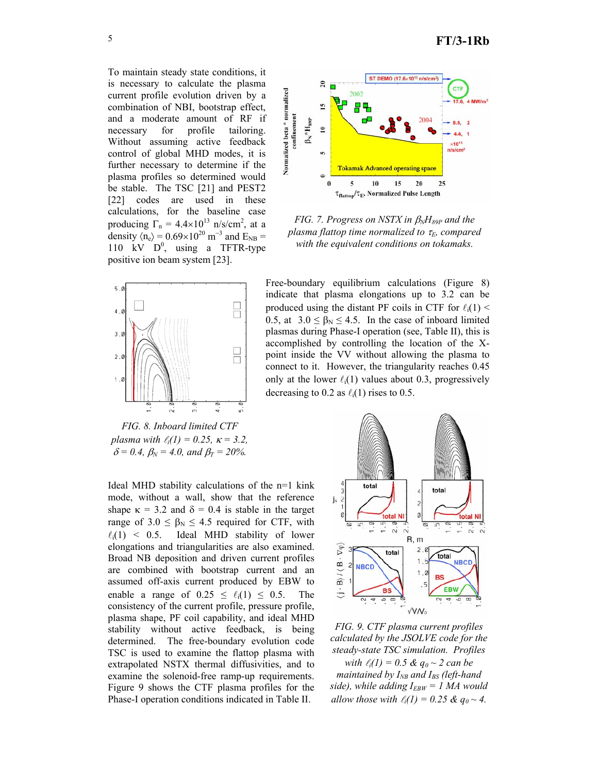To maintain steady state conditions, it is necessary to calculate the plasma current profile evolution driven by a combination of NBI, bootstrap effect, and a moderate amount of RF if necessary for profile tailoring. Without assuming active feedback control of global MHD modes, it is further necessary to determine if the plasma profiles so determined would be stable. The TSC [21] and PEST2 [22] codes are used in these calculations, for the baseline case producing  $\Gamma_n = 4.4 \times 10^{13}$  n/s/cm<sup>2</sup>, at a density  $\langle n_e \rangle = 0.69 \times 10^{20}$  m<sup>-3</sup> and E<sub>NB</sub> = 110  $kV$   $D^0$ , using a TFTR-type positive ion beam system [23].



*FIG. 8. Inboard limited CTF plasma with*  $\ell_i(1) = 0.25$ ,  $\kappa = 3.2$ ,  $\delta = 0.4$ ,  $\beta_N = 4.0$ , and  $\beta_T = 20\%$ .

Ideal MHD stability calculations of the n=1 kink mode, without a wall, show that the reference shape  $\kappa = 3.2$  and  $\delta = 0.4$  is stable in the target range of  $3.0 \leq \beta_N \leq 4.5$  required for CTF, with  $\ell_i(1)$  < 0.5. Ideal MHD stability of lower elongations and triangularities are also examined. Broad NB deposition and driven current profiles are combined with bootstrap current and an assumed off-axis current produced by EBW to enable a range of  $0.25 \le \ell_i(1) \le 0.5$ . The consistency of the current profile, pressure profile, plasma shape, PF coil capability, and ideal MHD stability without active feedback, is being determined. The free-boundary evolution code TSC is used to examine the flattop plasma with extrapolated NSTX thermal diffusivities, and to examine the solenoid-free ramp-up requirements. Figure 9 shows the CTF plasma profiles for the Phase-I operation conditions indicated in Table II.



*FIG. 7. Progress on NSTX in β<sub>N</sub>H<sub>89P</sub> and the plasma flattop time normalized to τ<sub>E</sub>, compared with the equivalent conditions on tokamaks.* 

Free-boundary equilibrium calculations (Figure 8) indicate that plasma elongations up to 3.2 can be produced using the distant PF coils in CTF for  $\ell_i(1)$  < 0.5, at  $3.0 \leq \beta_N \leq 4.5$ . In the case of inboard limited plasmas during Phase-I operation (see, Table II), this is accomplished by controlling the location of the Xpoint inside the VV without allowing the plasma to connect to it. However, the triangularity reaches 0.45 only at the lower  $\ell_i(1)$  values about 0.3, progressively decreasing to 0.2 as  $\ell_i(1)$  rises to 0.5.



*FIG. 9. CTF plasma current profiles calculated by the JSOLVE code for the steady-state TSC simulation. Profiles* 

*with*  $\ell_i(1) = 0.5 \& q_0 \sim 2 \text{ can be}$ *maintained by I<sub>NB</sub> and I<sub>BS</sub> (left-hand side), while adding IEBW = 1 MA would allow those with*  $\ell_i(1) = 0.25 \& q_0 \sim 4$ .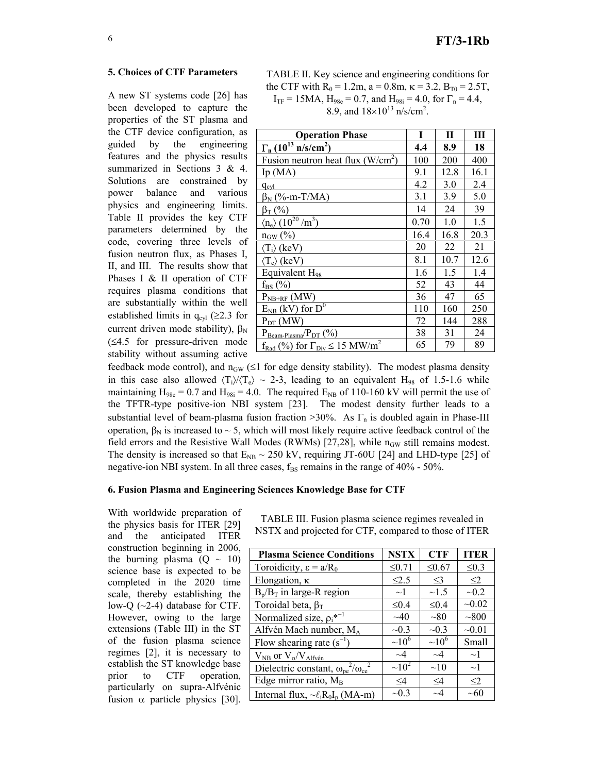## **5. Choices of CTF Parameters**

A new ST systems code [26] has been developed to capture the properties of the ST plasma and the CTF device configuration, as guided by the engineering features and the physics results summarized in Sections 3 & 4. Solutions are constrained by power balance and various physics and engineering limits. Table II provides the key CTF parameters determined by the code, covering three levels of fusion neutron flux, as Phases I, II, and III. The results show that Phases I & II operation of CTF requires plasma conditions that are substantially within the well established limits in  $q_{cyl}$  (≥2.3 for current driven mode stability),  $\beta_N$ (≤4.5 for pressure-driven mode stability without assuming active

| <b>Operation Phase</b>                                               | T    | $\mathbf{I}$ | Ш    |
|----------------------------------------------------------------------|------|--------------|------|
| $\Gamma_{\rm n}$ (10 <sup>13</sup> n/s/cm <sup>2</sup> )             | 4.4  | 8.9          | 18   |
| Fusion neutron heat flux $(W/cm2)$                                   | 100  | 200          | 400  |
| Ip $(MA)$                                                            | 9.1  | 12.8         | 16.1 |
| $q_{cyl}$                                                            | 4.2  | 3.0          | 2.4  |
| $\beta_N$ (%-m-T/MA)                                                 | 3.1  | 3.9          | 5.0  |
| $\beta$ <sub>T</sub> (%)                                             | 14   | 24           | 39   |
| $\langle n_e \rangle (10^{20} / m^3)$                                | 0.70 | 1.0          | 1.5  |
| $n_{\text{GW}}$ (%)                                                  | 16.4 | 16.8         | 20.3 |
| $\langle T_i \rangle$ (keV)                                          | 20   | 22           | 21   |
| $\langle T_e \rangle$ (keV)                                          | 8.1  | 10.7         | 12.6 |
| Equivalent H <sub>98</sub>                                           | 1.6  | 1.5          | 1.4  |
| $f_{BS}$ (%)                                                         | 52   | 43           | 44   |
| $P_{NB+RF}$ (MW)                                                     | 36   | 47           | 65   |
| $E_{NB}$ (kV) for $D^0$                                              | 110  | 160          | 250  |
| $P_{DT}$ (MW)                                                        | 72   | 144          | 288  |
| $P_{\text{Beam-Plasma}}/P_{\text{DT}}(%)$                            | 38   | 31           | 24   |
| $f_{\text{Rad}}(\%)$ for $\Gamma_{\text{Div}} \le 15 \text{ MW/m}^2$ | 65   | 79           | 89   |

feedback mode control), and  $n_{GW}$  ( $\leq 1$  for edge density stability). The modest plasma density in this case also allowed  $\langle T_i \rangle / \langle T_e \rangle \sim 2-3$ , leading to an equivalent H<sub>98</sub> of 1.5-1.6 while maintaining  $H_{98e} = 0.7$  and  $H_{98i} = 4.0$ . The required  $E_{NB}$  of 110-160 kV will permit the use of the TFTR-type positive-ion NBI system [23]. The modest density further leads to a substantial level of beam-plasma fusion fraction  $>30\%$ . As  $\Gamma_n$  is doubled again in Phase-III operation,  $β<sub>N</sub>$  is increased to  $~5$ , which will most likely require active feedback control of the field errors and the Resistive Wall Modes (RWMs) [27,28], while  $n_{GW}$  still remains modest. The density is increased so that  $E_{NB} \sim 250$  kV, requiring JT-60U [24] and LHD-type [25] of negative-ion NBI system. In all three cases,  $f_{BS}$  remains in the range of  $40\%$  -  $50\%$ .

#### **6. Fusion Plasma and Engineering Sciences Knowledge Base for CTF**

With worldwide preparation of the physics basis for ITER [29] and the anticipated ITER construction beginning in 2006, the burning plasma  $(Q \sim 10)$ science base is expected to be completed in the 2020 time scale, thereby establishing the low-Q  $(\sim$ 2-4) database for CTF. However, owing to the large extensions (Table III) in the ST of the fusion plasma science regimes [2], it is necessary to establish the ST knowledge base prior to CTF operation, particularly on supra-Alfvénic fusion  $\alpha$  particle physics [30].

TABLE III. Fusion plasma science regimes revealed in NSTX and projected for CTF, compared to those of ITER

| <b>Plasma Science Conditions</b>                           | <b>NSTX</b> | <b>CTF</b>  | <b>ITER</b>   |
|------------------------------------------------------------|-------------|-------------|---------------|
| Toroidicity, $\varepsilon = a/R_0$                         | $\leq 0.71$ | $≤0.67$     | $\leq 0.3$    |
| Elongation, $\kappa$                                       | $\leq$ 2.5  | $\leq$ 3    | $\leq$ 2      |
| $B_p/B_T$ in large-R region                                | $\sim$ ]    | $\sim$ 1.5  | $\sim 0.2$    |
| Toroidal beta, $\beta_T$                                   | $\leq 0.4$  | $\leq 0.4$  | $-0.02$       |
| Normalized size, $\rho_i^{*^{-1}}$                         | $\sim$ 40   | ~1          | $\sim\!\!800$ |
| Alfvén Mach number, MA                                     | $\sim 0.3$  | $\sim 0.3$  | $-0.01$       |
| Flow shearing rate $(s^{-1})$                              | $~10^6$     | $~10^6$     | Small         |
| $V_{NB}$ or $V_{\alpha}/V_{Alfv\acute{e}n}$                | $\sim$ 4    | $\sim$ 4    | $\sim$ 1      |
| Dielectric constant, $\omega_{\rm pe}^2/\omega_{\rm ce}^2$ | $\sim 10^2$ | $\sim10$    | $\sim$ 1      |
| Edge mirror ratio, M <sub>B</sub>                          | $\leq$ 4    | $\leq$ 4    | $\leq$ 2      |
| Internal flux, $\sim \ell_i R_0 I_p$ (MA-m)                | $-0.3$      | $\sim\!\!4$ | $\sim\!\!60$  |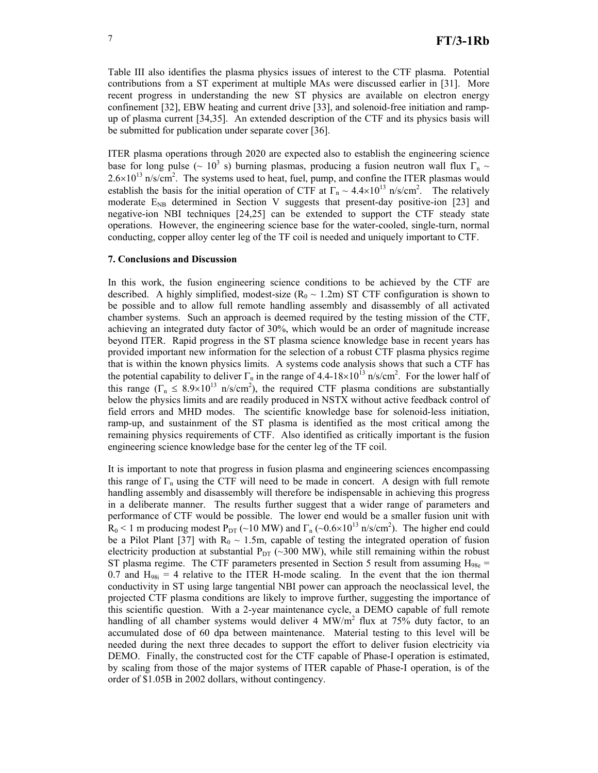Table III also identifies the plasma physics issues of interest to the CTF plasma. Potential contributions from a ST experiment at multiple MAs were discussed earlier in [31]. More recent progress in understanding the new ST physics are available on electron energy confinement [32], EBW heating and current drive [33], and solenoid-free initiation and rampup of plasma current [34,35]. An extended description of the CTF and its physics basis will be submitted for publication under separate cover [36].

ITER plasma operations through 2020 are expected also to establish the engineering science base for long pulse ( $\sim 10^3$  s) burning plasmas, producing a fusion neutron wall flux  $\Gamma_n \sim$  $2.6 \times 10^{13}$  n/s/cm<sup>2</sup>. The systems used to heat, fuel, pump, and confine the ITER plasmas would establish the basis for the initial operation of CTF at  $\Gamma_n \sim 4.4 \times 10^{13}$  n/s/cm<sup>2</sup>. The relatively moderate  $E_{NB}$  determined in Section V suggests that present-day positive-ion [23] and negative-ion NBI techniques [24,25] can be extended to support the CTF steady state operations. However, the engineering science base for the water-cooled, single-turn, normal conducting, copper alloy center leg of the TF coil is needed and uniquely important to CTF.

### **7. Conclusions and Discussion**

In this work, the fusion engineering science conditions to be achieved by the CTF are described. A highly simplified, modest-size  $(R_0 \sim 1.2m)$  ST CTF configuration is shown to be possible and to allow full remote handling assembly and disassembly of all activated chamber systems. Such an approach is deemed required by the testing mission of the CTF, achieving an integrated duty factor of 30%, which would be an order of magnitude increase beyond ITER. Rapid progress in the ST plasma science knowledge base in recent years has provided important new information for the selection of a robust CTF plasma physics regime that is within the known physics limits. A systems code analysis shows that such a CTF has the potential capability to deliver  $\Gamma_n$  in the range of 4.4-18×10<sup>13</sup> n/s/cm<sup>2</sup>. For the lower half of this range ( $\Gamma_n \leq 8.9 \times 10^{13}$  n/s/cm<sup>2</sup>), the required CTF plasma conditions are substantially below the physics limits and are readily produced in NSTX without active feedback control of field errors and MHD modes. The scientific knowledge base for solenoid-less initiation, ramp-up, and sustainment of the ST plasma is identified as the most critical among the remaining physics requirements of CTF. Also identified as critically important is the fusion engineering science knowledge base for the center leg of the TF coil.

It is important to note that progress in fusion plasma and engineering sciences encompassing this range of  $\Gamma_n$  using the CTF will need to be made in concert. A design with full remote handling assembly and disassembly will therefore be indispensable in achieving this progress in a deliberate manner. The results further suggest that a wider range of parameters and performance of CTF would be possible. The lower end would be a smaller fusion unit with  $R_0$  < 1 m producing modest P<sub>DT</sub> (~10 MW) and  $\Gamma_n$  (~0.6×10<sup>13</sup> n/s/cm<sup>2</sup>). The higher end could be a Pilot Plant [37] with  $R_0 \sim 1.5$ m, capable of testing the integrated operation of fusion electricity production at substantial  $P_{DT}$  (~300 MW), while still remaining within the robust ST plasma regime. The CTF parameters presented in Section 5 result from assuming  $H_{98e}$  = 0.7 and  $H_{98i} = 4$  relative to the ITER H-mode scaling. In the event that the ion thermal conductivity in ST using large tangential NBI power can approach the neoclassical level, the projected CTF plasma conditions are likely to improve further, suggesting the importance of this scientific question. With a 2-year maintenance cycle, a DEMO capable of full remote handling of all chamber systems would deliver 4  $MW/m<sup>2</sup>$  flux at 75% duty factor, to an accumulated dose of 60 dpa between maintenance. Material testing to this level will be needed during the next three decades to support the effort to deliver fusion electricity via DEMO. Finally, the constructed cost for the CTF capable of Phase-I operation is estimated, by scaling from those of the major systems of ITER capable of Phase-I operation, is of the order of \$1.05B in 2002 dollars, without contingency.